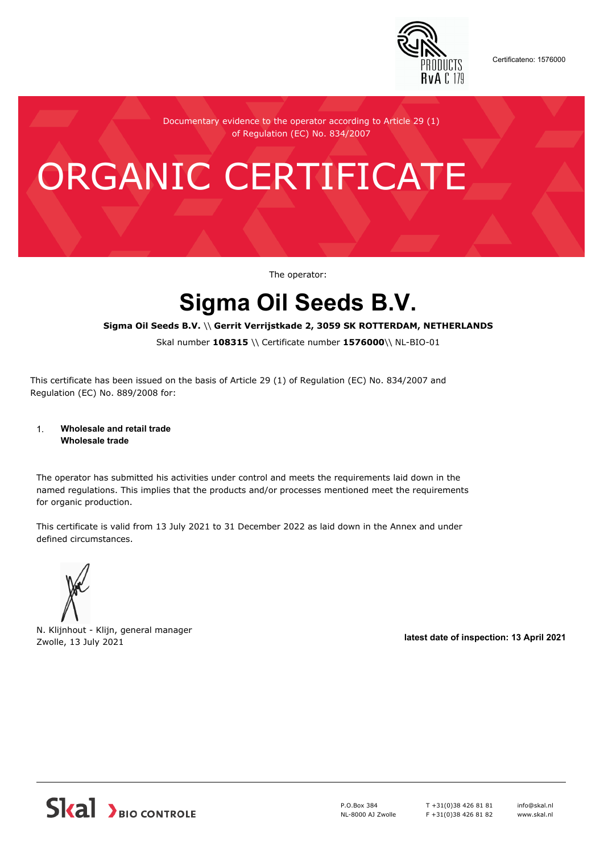

Certificateno: 1576000

Documentary evidence to the operator according to Article 29 (1) of Regulation (EC) No. 834/2007

# ORGANIC CERTIFICATE

The operator:

## **Sigma Oil Seeds B.V.**

#### **Sigma Oil Seeds B.V.** \\ **Gerrit Verrijstkade 2, 3059 SK ROTTERDAM, NETHERLANDS**

Skal number **108315** \\ Certificate number **1576000**\\ NL-BIO-01

This certificate has been issued on the basis of Article 29 (1) of Regulation (EC) No. 834/2007 and Regulation (EC) No. 889/2008 for:

#### 1. **Wholesale and retail trade Wholesale trade**

The operator has submitted his activities under control and meets the requirements laid down in the named regulations. This implies that the products and/or processes mentioned meet the requirements for organic production.

This certificate is valid from 13 July 2021 to 31 December 2022 as laid down in the Annex and under defined circumstances.



N. Klijnhout - Klijn, general manager Zwolle, 13 July 2021 **latest date of inspection: 13 April 2021**



P.O.Box 384 NL-8000 AJ Zwolle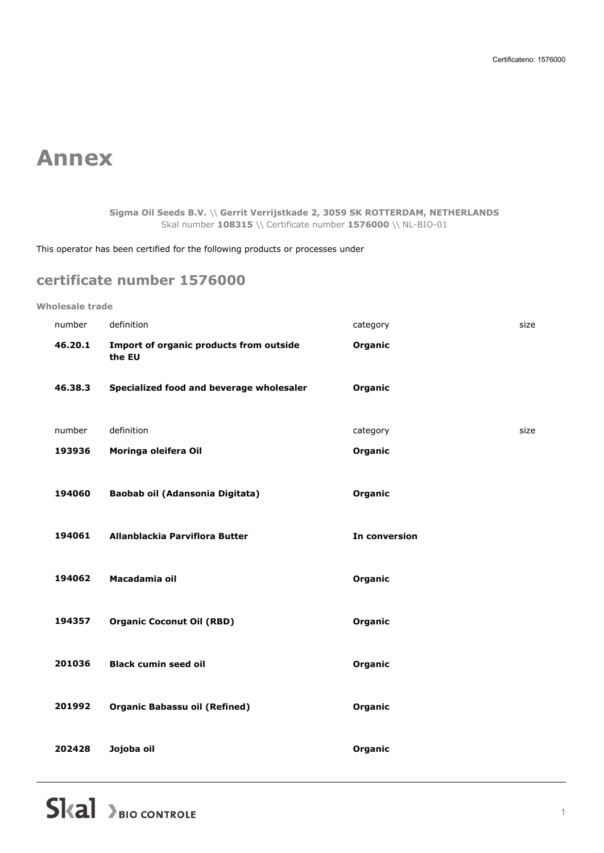## **Annex**

**Sigma Oil Seeds B.V.** \\ **Gerrit Verrijstkade 2, 3059 SK ROTTERDAM, NETHERLANDS** Skal number **108315** \\ Certificate number **1576000** \\ NL-BIO-01

This operator has been certified for the following products or processes under

### **certificate number 1576000**

#### **Wholesale trade**

| number  | definition                                        | category      | size |
|---------|---------------------------------------------------|---------------|------|
| 46.20.1 | Import of organic products from outside<br>the EU | Organic       |      |
| 46.38.3 | Specialized food and beverage wholesaler          | Organic       |      |
| number  | definition                                        | category      | size |
| 193936  | Moringa oleifera Oil                              | Organic       |      |
| 194060  | Baobab oil (Adansonia Digitata)                   | Organic       |      |
| 194061  | Allanblackia Parviflora Butter                    | In conversion |      |
| 194062  | Macadamia oil                                     | Organic       |      |
| 194357  | <b>Organic Coconut Oil (RBD)</b>                  | Organic       |      |
| 201036  | <b>Black cumin seed oil</b>                       | Organic       |      |
| 201992  | <b>Organic Babassu oil (Refined)</b>              | Organic       |      |
| 202428  | Jojoba oil                                        | Organic       |      |